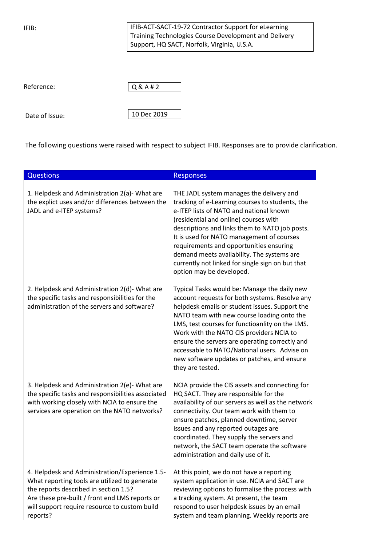IFIB:

IFIB-ACT-SACT-19-72 Contractor Support for eLearning Training Technologies Course Development and Delivery Support, HQ SACT, Norfolk, Virginia, U.S.A.

| Reference: | Q&A#2 |
|------------|-------|
|            |       |

Date of Issue:

10 Dec 2019

The following questions were raised with respect to subject IFIB. Responses are to provide clarification.

| <b>Questions</b>                                                                                                                                                                                                                                        | <b>Responses</b>                                                                                                                                                                                                                                                                                                                                                                                                                                                   |
|---------------------------------------------------------------------------------------------------------------------------------------------------------------------------------------------------------------------------------------------------------|--------------------------------------------------------------------------------------------------------------------------------------------------------------------------------------------------------------------------------------------------------------------------------------------------------------------------------------------------------------------------------------------------------------------------------------------------------------------|
| 1. Helpdesk and Administration 2(a)- What are<br>the explict uses and/or differences between the<br>JADL and e-ITEP systems?                                                                                                                            | THE JADL system manages the delivery and<br>tracking of e-Learning courses to students, the<br>e-ITEP lists of NATO and national known<br>(residential and online) courses with<br>descriptions and links them to NATO job posts.<br>It is used for NATO management of courses<br>requirements and opportunities ensuring<br>demand meets availability. The systems are<br>currently not linked for single sign on but that<br>option may be developed.            |
| 2. Helpdesk and Administration 2(d)- What are<br>the specific tasks and responsibilities for the<br>administration of the servers and software?                                                                                                         | Typical Tasks would be: Manage the daily new<br>account requests for both systems. Resolve any<br>helpdesk emails or student issues. Support the<br>NATO team with new course loading onto the<br>LMS, test courses for functioanlity on the LMS.<br>Work with the NATO CIS providers NCIA to<br>ensure the servers are operating correctly and<br>accessable to NATO/National users. Advise on<br>new software updates or patches, and ensure<br>they are tested. |
| 3. Helpdesk and Administration 2(e)- What are<br>the specific tasks and responsibilities associated<br>with working closely with NCIA to ensure the<br>services are operation on the NATO networks?                                                     | NCIA provide the CIS assets and connecting for<br>HQ SACT. They are responsible for the<br>availability of our servers as well as the network<br>connectivity. Our team work with them to<br>ensure patches, planned downtime, server<br>issues and any reported outages are<br>coordinated. They supply the servers and<br>network, the SACT team operate the software<br>administration and daily use of it.                                                     |
| 4. Helpdesk and Administration/Experience 1.5-<br>What reporting tools are utilized to generate<br>the reports described in section 1.5?<br>Are these pre-built / front end LMS reports or<br>will support require resource to custom build<br>reports? | At this point, we do not have a reporting<br>system application in use. NCIA and SACT are<br>reviewing options to formalise the process with<br>a tracking system. At present, the team<br>respond to user helpdesk issues by an email<br>system and team planning. Weekly reports are                                                                                                                                                                             |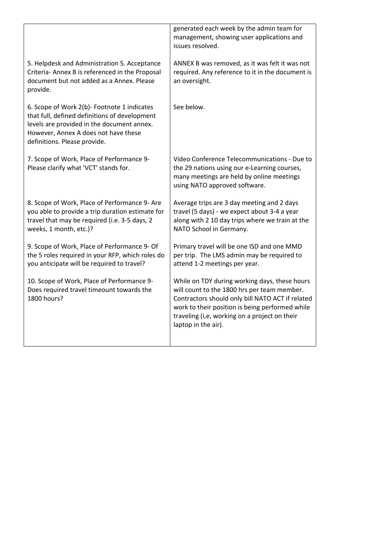|                                                                                                                                                                                                                    | generated each week by the admin team for<br>management, showing user applications and<br>issues resolved.                                                                                                                                                                  |
|--------------------------------------------------------------------------------------------------------------------------------------------------------------------------------------------------------------------|-----------------------------------------------------------------------------------------------------------------------------------------------------------------------------------------------------------------------------------------------------------------------------|
| 5. Helpdesk and Administration 5. Acceptance<br>Criteria-Annex B is referenced in the Proposal<br>document but not added as a Annex. Please<br>provide.                                                            | ANNEX B was removed, as it was felt it was not<br>required. Any reference to it in the document is<br>an oversight.                                                                                                                                                         |
| 6. Scope of Work 2(b)- Footnote 1 indicates<br>that full, defined definitions of development<br>levels are provided in the document annex.<br>However, Annex A does not have these<br>definitions. Please provide. | See below.                                                                                                                                                                                                                                                                  |
| 7. Scope of Work, Place of Performance 9-<br>Please clarify what 'VCT' stands for.                                                                                                                                 | Video Conference Telecommunications - Due to<br>the 29 nations using our e-Learning courses,<br>many meetings are held by online meetings<br>using NATO approved software.                                                                                                  |
| 8. Scope of Work, Place of Performance 9- Are<br>you able to provide a trip duration estimate for<br>travel that may be required (i.e. 3-5 days, 2<br>weeks, 1 month, etc.)?                                       | Average trips are 3 day meeting and 2 days<br>travel (5 days) - we expect about 3-4 a year<br>along with 2 10 day trips where we train at the<br>NATO School in Germany.                                                                                                    |
| 9. Scope of Work, Place of Performance 9- Of<br>the 5 roles required in your RFP, which roles do<br>you anticipate will be required to travel?                                                                     | Primary travel will be one ISD and one MMD<br>per trip. The LMS admin may be required to<br>attend 1-2 meetings per year.                                                                                                                                                   |
| 10. Scope of Work, Place of Performance 9-<br>Does required travel timeount towards the<br>1800 hours?                                                                                                             | While on TDY during working days, these hours<br>will count to the 1800 hrs per team member.<br>Contractors should only bill NATO ACT if related<br>work to their position is being performed while<br>traveling (i,e, working on a project on their<br>laptop in the air). |